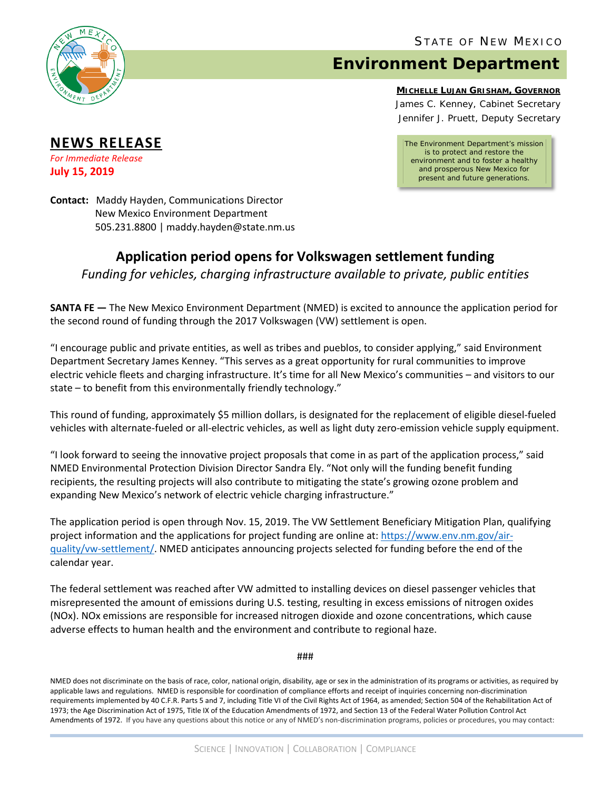

**NEWS RELEASE** *For Immediate Release* **July 15, 2019**

## **Environment Department**

**MICHELLE LUJAN GRISHAM, GOVERNOR** James C. Kenney, Cabinet Secretary Jennifer J. Pruett, Deputy Secretary

*The Environment Department's mission is to protect and restore the environment and to foster a healthy and prosperous New Mexico for present and future generations.*

**Contact:** Maddy Hayden, Communications Director New Mexico Environment Department 505.231.8800 | maddy.hayden@state.nm.us

## **Application period opens for Volkswagen settlement funding** *Funding for vehicles, charging infrastructure available to private, public entities*

**SANTA FE —** The New Mexico Environment Department (NMED) is excited to announce the application period for the second round of funding through the 2017 Volkswagen (VW) settlement is open.

"I encourage public and private entities, as well as tribes and pueblos, to consider applying," said Environment Department Secretary James Kenney. "This serves as a great opportunity for rural communities to improve electric vehicle fleets and charging infrastructure. It's time for all New Mexico's communities – and visitors to our state – to benefit from this environmentally friendly technology."

This round of funding, approximately \$5 million dollars, is designated for the replacement of eligible diesel-fueled vehicles with alternate-fueled or all-electric vehicles, as well as light duty zero-emission vehicle supply equipment.

"I look forward to seeing the innovative project proposals that come in as part of the application process," said NMED Environmental Protection Division Director Sandra Ely. "Not only will the funding benefit funding recipients, the resulting projects will also contribute to mitigating the state's growing ozone problem and expanding New Mexico's network of electric vehicle charging infrastructure."

The application period is open through Nov. 15, 2019. The VW Settlement Beneficiary Mitigation Plan, qualifying project information and the applications for project funding are online at: [https://www.env.nm.gov/air](https://www.env.nm.gov/air-quality/vw-settlement/)[quality/vw-settlement/.](https://www.env.nm.gov/air-quality/vw-settlement/) NMED anticipates announcing projects selected for funding before the end of the calendar year.

The federal settlement was reached after VW admitted to installing devices on diesel passenger vehicles that misrepresented the amount of emissions during U.S. testing, resulting in excess emissions of nitrogen oxides (NOx). NOx emissions are responsible for increased nitrogen dioxide and ozone concentrations, which cause adverse effects to human health and the environment and contribute to regional haze.

###

NMED does not discriminate on the basis of race, color, national origin, disability, age or sex in the administration of its programs or activities, as required by applicable laws and regulations. NMED is responsible for coordination of compliance efforts and receipt of inquiries concerning non-discrimination requirements implemented by 40 C.F.R. Parts 5 and 7, including Title VI of the Civil Rights Act of 1964, as amended; Section 504 of the Rehabilitation Act of 1973; the Age Discrimination Act of 1975, Title IX of the Education Amendments of 1972, and Section 13 of the Federal Water Pollution Control Act Amendments of 1972. If you have any questions about this notice or any of NMED's non-discrimination programs, policies or procedures, you may contact: